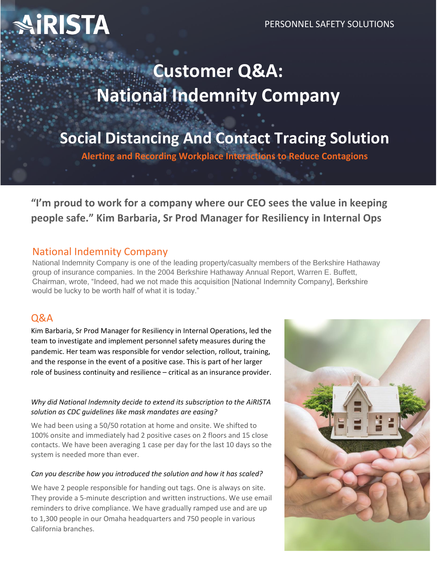# IRISTA

# **Customer Q&A: National Indemnity Company**

**Social Distancing And Contact Tracing Solution**

**Alerting and Recording Workplace Interactions to Reduce Contagions**

**"I'm proud to work for a company where our CEO sees the value in keeping people safe." Kim Barbaria, Sr Prod Manager for Resiliency in Internal Ops**

# National Indemnity Company

National Indemnity Company is one of the leading property/casualty members of the Berkshire Hathaway group of insurance companies. In the 2004 Berkshire Hathaway Annual Report, Warren E. Buffett, Chairman, wrote, "Indeed, had we not made this acquisition [National Indemnity Company], Berkshire would be lucky to be worth half of what it is today."

# Q&A

Kim Barbaria, Sr Prod Manager for Resiliency in Internal Operations, led the team to investigate and implement personnel safety measures during the pandemic. Her team was responsible for vendor selection, rollout, training, and the response in the event of a positive case. This is part of her larger role of business continuity and resilience – critical as an insurance provider.

#### *Why did National Indemnity decide to extend its subscription to the AiRISTA solution as CDC guidelines like mask mandates are easing?*

We had been using a 50/50 rotation at home and onsite. We shifted to 100% onsite and immediately had 2 positive cases on 2 floors and 15 close contacts. We have been averaging 1 case per day for the last 10 days so the system is needed more than ever.

#### *Can you describe how you introduced the solution and how it has scaled?*

We have 2 people responsible for handing out tags. One is always on site. They provide a 5-minute description and written instructions. We use email reminders to drive compliance. We have gradually ramped use and are up to 1,300 people in our Omaha headquarters and 750 people in various California branches.